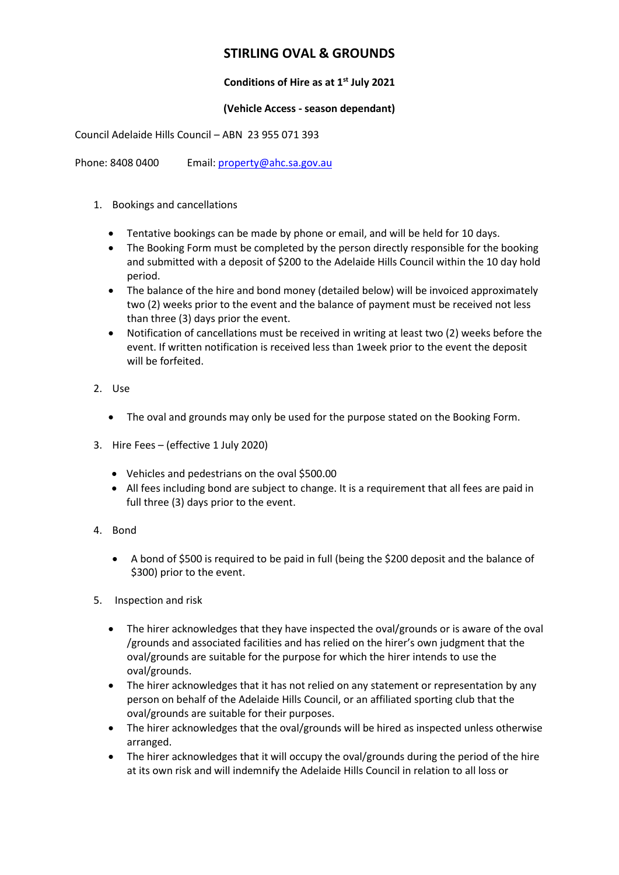# **STIRLING OVAL & GROUNDS**

# **Conditions of Hire as at 1st July 2021**

### **(Vehicle Access - season dependant)**

Council Adelaide Hills Council – ABN 23 955 071 393

Phone: 8408 0400 Email: [property@ahc.sa.gov.au](mailto:property@ahc.sa.gov.au)

- 1. Bookings and cancellations
	- Tentative bookings can be made by phone or email, and will be held for 10 days.
	- The Booking Form must be completed by the person directly responsible for the booking and submitted with a deposit of \$200 to the Adelaide Hills Council within the 10 day hold period.
	- The balance of the hire and bond money (detailed below) will be invoiced approximately two (2) weeks prior to the event and the balance of payment must be received not less than three (3) days prior the event.
	- Notification of cancellations must be received in writing at least two (2) weeks before the event. If written notification is received less than 1week prior to the event the deposit will be forfeited.
- 2. Use
	- The oval and grounds may only be used for the purpose stated on the Booking Form.
- 3. Hire Fees (effective 1 July 2020)
	- Vehicles and pedestrians on the oval \$500.00
	- All fees including bond are subject to change. It is a requirement that all fees are paid in full three (3) days prior to the event.
- 4. Bond
	- A bond of \$500 is required to be paid in full (being the \$200 deposit and the balance of \$300) prior to the event.
- 5. Inspection and risk
	- The hirer acknowledges that they have inspected the oval/grounds or is aware of the oval /grounds and associated facilities and has relied on the hirer's own judgment that the oval/grounds are suitable for the purpose for which the hirer intends to use the oval/grounds.
	- The hirer acknowledges that it has not relied on any statement or representation by any person on behalf of the Adelaide Hills Council, or an affiliated sporting club that the oval/grounds are suitable for their purposes.
	- The hirer acknowledges that the oval/grounds will be hired as inspected unless otherwise arranged.
	- The hirer acknowledges that it will occupy the oval/grounds during the period of the hire at its own risk and will indemnify the Adelaide Hills Council in relation to all loss or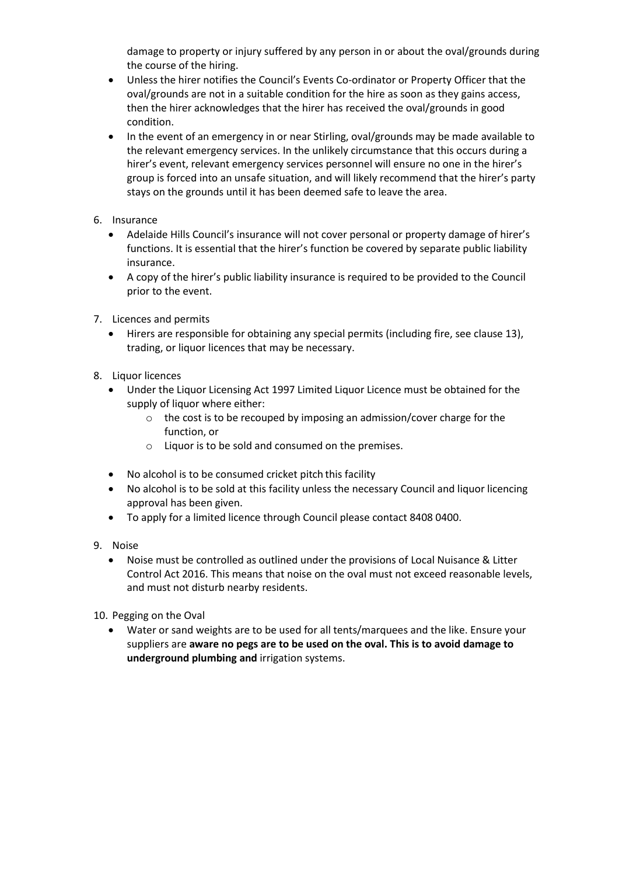damage to property or injury suffered by any person in or about the oval/grounds during the course of the hiring.

- Unless the hirer notifies the Council's Events Co-ordinator or Property Officer that the oval/grounds are not in a suitable condition for the hire as soon as they gains access, then the hirer acknowledges that the hirer has received the oval/grounds in good condition.
- In the event of an emergency in or near Stirling, oval/grounds may be made available to the relevant emergency services. In the unlikely circumstance that this occurs during a hirer's event, relevant emergency services personnel will ensure no one in the hirer's group is forced into an unsafe situation, and will likely recommend that the hirer's party stays on the grounds until it has been deemed safe to leave the area.
- 6. Insurance
	- Adelaide Hills Council's insurance will not cover personal or property damage of hirer's functions. It is essential that the hirer's function be covered by separate public liability insurance.
	- A copy of the hirer's public liability insurance is required to be provided to the Council prior to the event.
- 7. Licences and permits
	- Hirers are responsible for obtaining any special permits (including fire, see clause 13), trading, or liquor licences that may be necessary.
- 8. Liquor licences
	- Under the Liquor Licensing Act 1997 Limited Liquor Licence must be obtained for the supply of liquor where either:
		- o the cost is to be recouped by imposing an admission/cover charge for the function, or
		- o Liquor is to be sold and consumed on the premises.
	- No alcohol is to be consumed cricket pitch this facility
	- No alcohol is to be sold at this facility unless the necessary Council and liquor licencing approval has been given.
	- To apply for a limited licence through Council please contact 8408 0400.
- 9. Noise
	- Noise must be controlled as outlined under the provisions of Local Nuisance & Litter Control Act 2016. This means that noise on the oval must not exceed reasonable levels, and must not disturb nearby residents.
- 10. Pegging on the Oval
	- Water or sand weights are to be used for all tents/marquees and the like. Ensure your suppliers are **aware no pegs are to be used on the oval. This is to avoid damage to underground plumbing and** irrigation systems.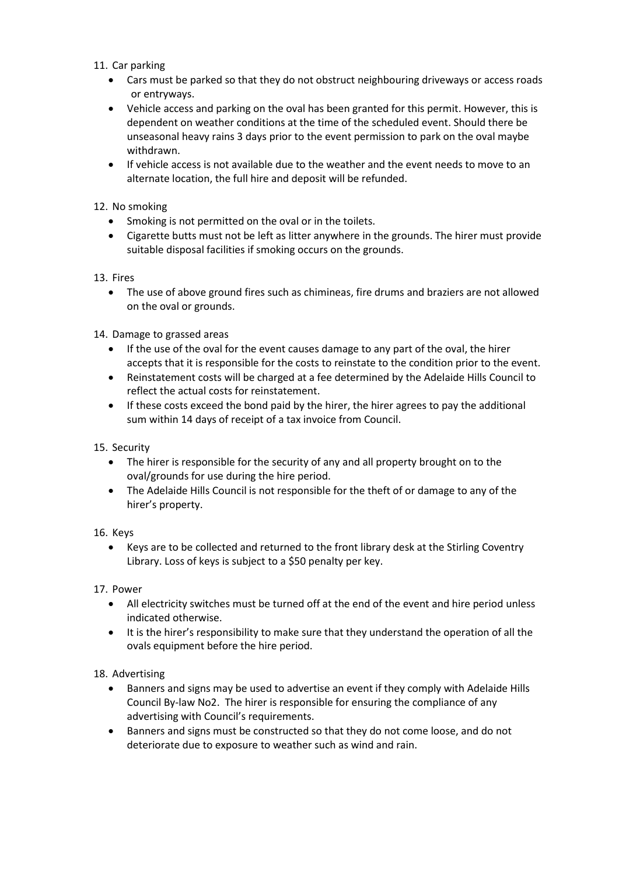- 11. Car parking
	- Cars must be parked so that they do not obstruct neighbouring driveways or access roads or entryways.
	- Vehicle access and parking on the oval has been granted for this permit. However, this is dependent on weather conditions at the time of the scheduled event. Should there be unseasonal heavy rains 3 days prior to the event permission to park on the oval maybe withdrawn.
	- If vehicle access is not available due to the weather and the event needs to move to an alternate location, the full hire and deposit will be refunded.

## 12. No smoking

- Smoking is not permitted on the oval or in the toilets.
- Cigarette butts must not be left as litter anywhere in the grounds. The hirer must provide suitable disposal facilities if smoking occurs on the grounds.

#### 13. Fires

 The use of above ground fires such as chimineas, fire drums and braziers are not allowed on the oval or grounds.

#### 14. Damage to grassed areas

- If the use of the oval for the event causes damage to any part of the oval, the hirer accepts that it is responsible for the costs to reinstate to the condition prior to the event.
- Reinstatement costs will be charged at a fee determined by the Adelaide Hills Council to reflect the actual costs for reinstatement.
- If these costs exceed the bond paid by the hirer, the hirer agrees to pay the additional sum within 14 days of receipt of a tax invoice from Council.

#### 15. Security

- The hirer is responsible for the security of any and all property brought on to the oval/grounds for use during the hire period.
- The Adelaide Hills Council is not responsible for the theft of or damage to any of the hirer's property.

#### 16. Keys

 Keys are to be collected and returned to the front library desk at the Stirling Coventry Library. Loss of keys is subject to a \$50 penalty per key.

#### 17. Power

- All electricity switches must be turned off at the end of the event and hire period unless indicated otherwise.
- It is the hirer's responsibility to make sure that they understand the operation of all the ovals equipment before the hire period.

#### 18. Advertising

- Banners and signs may be used to advertise an event if they comply with Adelaide Hills Council By-law No2. The hirer is responsible for ensuring the compliance of any advertising with Council's requirements.
- Banners and signs must be constructed so that they do not come loose, and do not deteriorate due to exposure to weather such as wind and rain.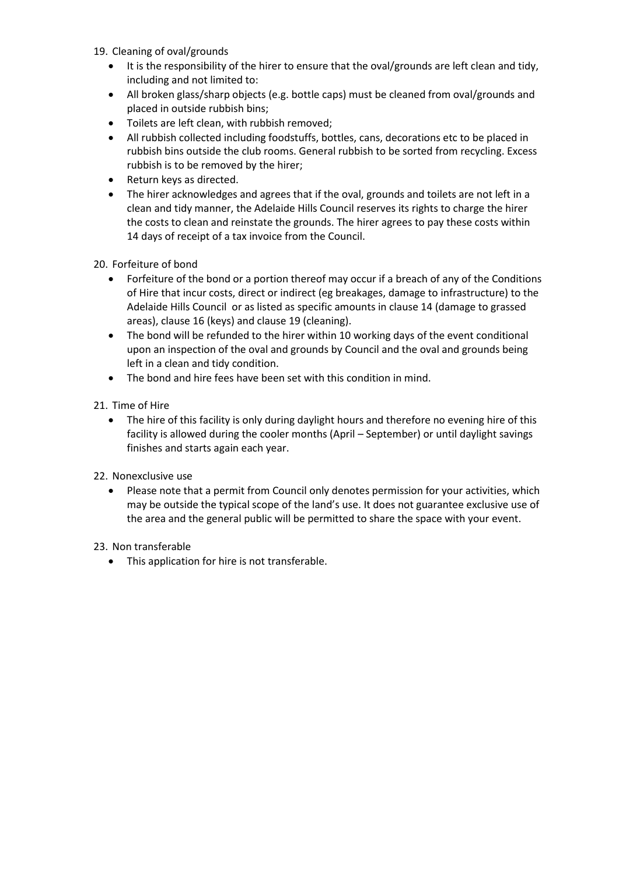- 19. Cleaning of oval/grounds
	- It is the responsibility of the hirer to ensure that the oval/grounds are left clean and tidy, including and not limited to:
	- All broken glass/sharp objects (e.g. bottle caps) must be cleaned from oval/grounds and placed in outside rubbish bins;
	- Toilets are left clean, with rubbish removed;
	- All rubbish collected including foodstuffs, bottles, cans, decorations etc to be placed in rubbish bins outside the club rooms. General rubbish to be sorted from recycling. Excess rubbish is to be removed by the hirer;
	- Return keys as directed.
	- The hirer acknowledges and agrees that if the oval, grounds and toilets are not left in a clean and tidy manner, the Adelaide Hills Council reserves its rights to charge the hirer the costs to clean and reinstate the grounds. The hirer agrees to pay these costs within 14 days of receipt of a tax invoice from the Council.

20. Forfeiture of bond

- Forfeiture of the bond or a portion thereof may occur if a breach of any of the Conditions of Hire that incur costs, direct or indirect (eg breakages, damage to infrastructure) to the Adelaide Hills Council or as listed as specific amounts in clause 14 (damage to grassed areas), clause 16 (keys) and clause 19 (cleaning).
- The bond will be refunded to the hirer within 10 working days of the event conditional upon an inspection of the oval and grounds by Council and the oval and grounds being left in a clean and tidy condition.
- The bond and hire fees have been set with this condition in mind.

21. Time of Hire

• The hire of this facility is only during daylight hours and therefore no evening hire of this facility is allowed during the cooler months (April – September) or until daylight savings finishes and starts again each year.

22. Nonexclusive use

 Please note that a permit from Council only denotes permission for your activities, which may be outside the typical scope of the land's use. It does not guarantee exclusive use of the area and the general public will be permitted to share the space with your event.

23. Non transferable

• This application for hire is not transferable.